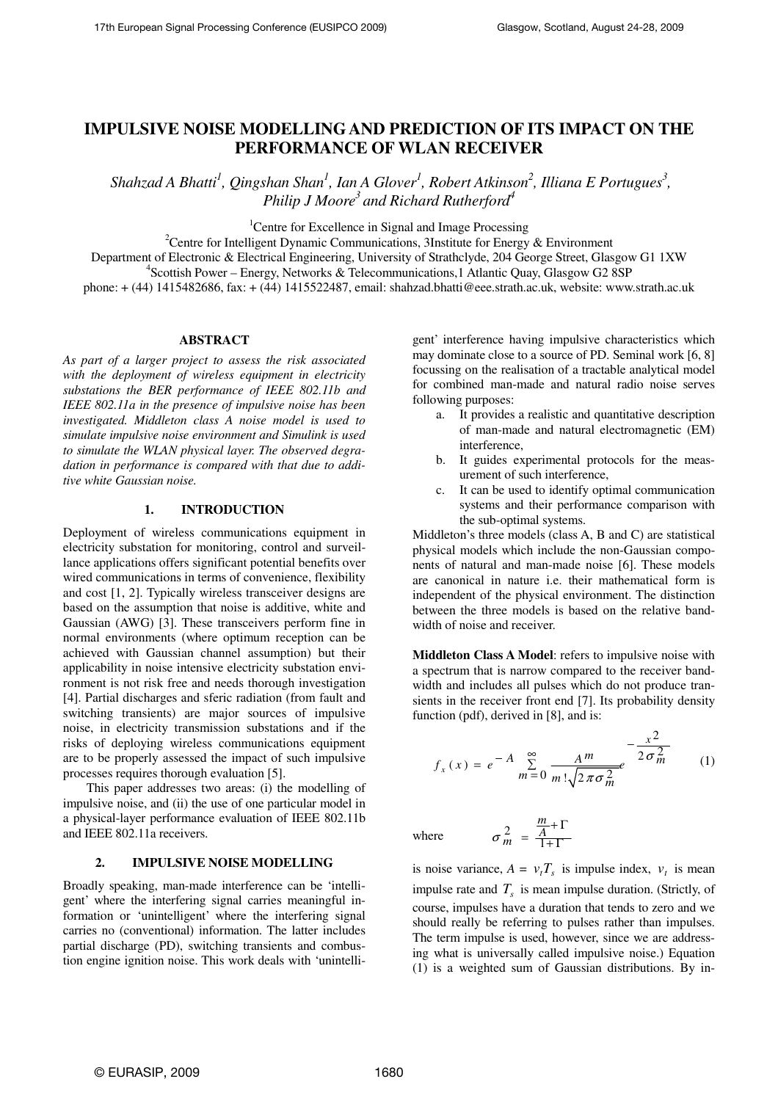# **IMPULSIVE NOISE MODELLING AND PREDICTION OF ITS IMPACT ON THE PERFORMANCE OF WLAN RECEIVER**

*Shahzad A Bhatti<sup>1</sup>, Qingshan Shan<sup>1</sup>, Ian A Glover<sup>1</sup>, Robert Atkinson<sup>2</sup>, Illiana E Portugues<sup>3</sup>, Philip J Moore<sup>3</sup>and Richard Rutherford<sup>4</sup>* 

<sup>1</sup>Centre for Excellence in Signal and Image Processing

<sup>2</sup>Centre for Intelligent Dynamic Communications, 3Institute for Energy  $\&$  Environment

Department of Electronic & Electrical Engineering, University of Strathclyde, 204 George Street, Glasgow G1 1XW

4 Scottish Power – Energy, Networks & Telecommunications,1 Atlantic Quay, Glasgow G2 8SP

phone: + (44) 1415482686, fax: + (44) 1415522487, email: shahzad.bhatti@eee.strath.ac.uk, website: www.strath.ac.uk

# **ABSTRACT**

*As part of a larger project to assess the risk associated with the deployment of wireless equipment in electricity substations the BER performance of IEEE 802.11b and IEEE 802.11a in the presence of impulsive noise has been investigated. Middleton class A noise model is used to simulate impulsive noise environment and Simulink is used to simulate the WLAN physical layer. The observed degradation in performance is compared with that due to additive white Gaussian noise.* 

## **1. INTRODUCTION**

Deployment of wireless communications equipment in electricity substation for monitoring, control and surveillance applications offers significant potential benefits over wired communications in terms of convenience, flexibility and cost [1, 2]. Typically wireless transceiver designs are based on the assumption that noise is additive, white and Gaussian (AWG) [3]. These transceivers perform fine in normal environments (where optimum reception can be achieved with Gaussian channel assumption) but their applicability in noise intensive electricity substation environment is not risk free and needs thorough investigation [4]. Partial discharges and sferic radiation (from fault and switching transients) are major sources of impulsive noise, in electricity transmission substations and if the risks of deploying wireless communications equipment are to be properly assessed the impact of such impulsive processes requires thorough evaluation [5].

This paper addresses two areas: (i) the modelling of impulsive noise, and (ii) the use of one particular model in a physical-layer performance evaluation of IEEE 802.11b and IEEE 802.11a receivers.

#### **2. IMPULSIVE NOISE MODELLING**

Broadly speaking, man-made interference can be 'intelligent' where the interfering signal carries meaningful information or 'unintelligent' where the interfering signal carries no (conventional) information. The latter includes partial discharge (PD), switching transients and combustion engine ignition noise. This work deals with 'unintelligent' interference having impulsive characteristics which may dominate close to a source of PD. Seminal work [6, 8] focussing on the realisation of a tractable analytical model for combined man-made and natural radio noise serves following purposes:

- a. It provides a realistic and quantitative description of man-made and natural electromagnetic (EM) interference,
- b. It guides experimental protocols for the measurement of such interference,
- c. It can be used to identify optimal communication systems and their performance comparison with the sub-optimal systems.

Middleton's three models (class A, B and C) are statistical physical models which include the non-Gaussian components of natural and man-made noise [6]. These models are canonical in nature i.e. their mathematical form is independent of the physical environment. The distinction between the three models is based on the relative bandwidth of noise and receiver.

**Middleton Class A Model**: refers to impulsive noise with a spectrum that is narrow compared to the receiver bandwidth and includes all pulses which do not produce transients in the receiver front end [7]. Its probability density function (pdf), derived in [8], and is:

$$
f_x(x) = e^{-A} \sum_{m=0}^{\infty} \frac{A^m}{m! \sqrt{2\pi \sigma_m^2}} e^{-\frac{x^2}{2\sigma_m^2}}
$$
 (1)

 $\Delta$ 

where e  $\sigma_m^2 = \frac{\overline{A}}{1}$  $\sigma_m^2 = \frac{\frac{m}{A} + \Gamma}{1 + \Gamma}$  $=$   $\frac{A}{1+\Gamma}$ 

is noise variance,  $A = v_t T_s$  is impulse index,  $v_t$  is mean impulse rate and  $T<sub>s</sub>$  is mean impulse duration. (Strictly, of course, impulses have a duration that tends to zero and we should really be referring to pulses rather than impulses. The term impulse is used, however, since we are addressing what is universally called impulsive noise.) Equation (1) is a weighted sum of Gaussian distributions. By in-

*m*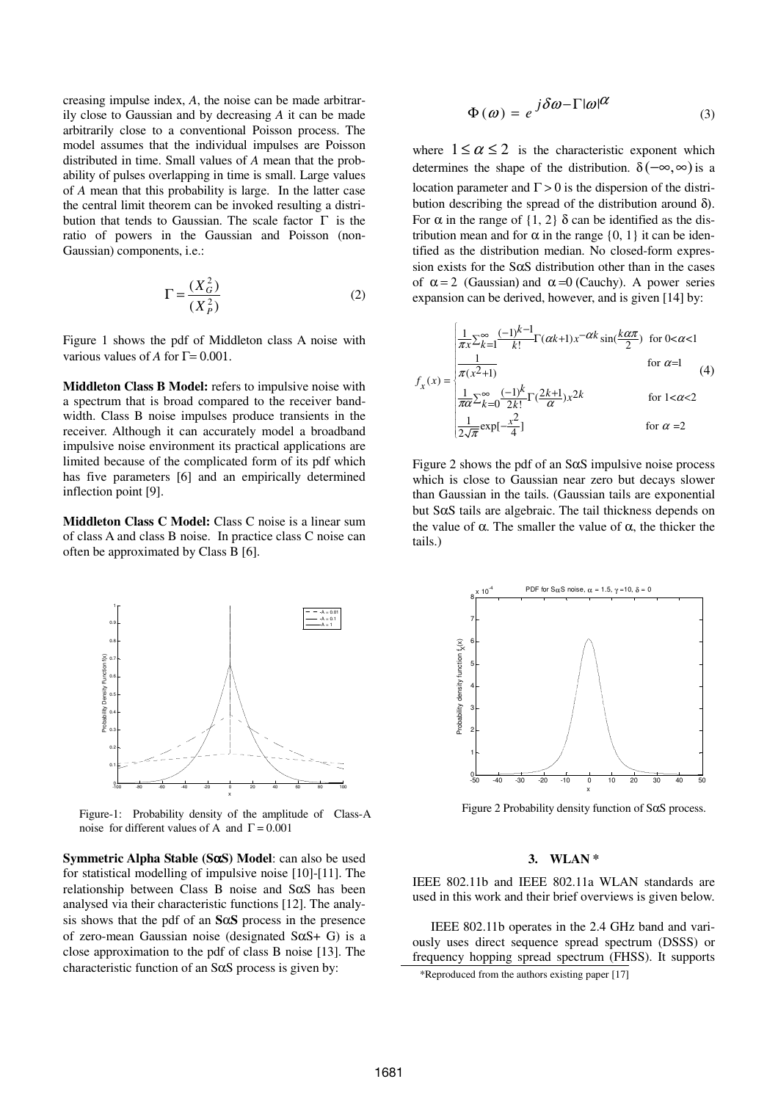creasing impulse index, *A*, the noise can be made arbitrarily close to Gaussian and by decreasing *A* it can be made arbitrarily close to a conventional Poisson process. The model assumes that the individual impulses are Poisson distributed in time. Small values of *A* mean that the probability of pulses overlapping in time is small. Large values of *A* mean that this probability is large. In the latter case the central limit theorem can be invoked resulting a distribution that tends to Gaussian. The scale factor  $\Gamma$  is the ratio of powers in the Gaussian and Poisson (non-Gaussian) components, i.e.:

$$
\Gamma = \frac{(X_G^2)}{(X_P^2)}\tag{2}
$$

Figure 1 shows the pdf of Middleton class A noise with various values of *A* for Γ= 0.001.

**Middleton Class B Model:** refers to impulsive noise with a spectrum that is broad compared to the receiver bandwidth. Class B noise impulses produce transients in the receiver. Although it can accurately model a broadband impulsive noise environment its practical applications are limited because of the complicated form of its pdf which has five parameters [6] and an empirically determined inflection point [9].

**Middleton Class C Model:** Class C noise is a linear sum of class A and class B noise. In practice class C noise can often be approximated by Class B [6].



Figure-1: Probability density of the amplitude of Class-A noise for different values of A and  $\Gamma = 0.001$ 

**Symmetric Alpha Stable (S**α**S) Model**: can also be used for statistical modelling of impulsive noise [10]-[11]. The relationship between Class B noise and SαS has been analysed via their characteristic functions [12]. The analysis shows that the pdf of an **S**α**S** process in the presence of zero-mean Gaussian noise (designated SαS+ G) is a close approximation to the pdf of class B noise [13]. The characteristic function of an  $S\alpha S$  process is given by:

$$
\Phi(\omega) = e^{-j\delta\omega - \Gamma|\omega|^{\alpha}}
$$
\n(3)

where  $1 \le \alpha \le 2$  is the characteristic exponent which determines the shape of the distribution.  $\delta(-\infty, \infty)$  is a location parameter and  $\Gamma > 0$  is the dispersion of the distribution describing the spread of the distribution around δ). For  $\alpha$  in the range of  $\{1, 2\}$   $\delta$  can be identified as the distribution mean and for  $\alpha$  in the range  $\{0, 1\}$  it can be identified as the distribution median. No closed-form expression exists for the  $S\alpha S$  distribution other than in the cases of  $\alpha = 2$  (Gaussian) and  $\alpha = 0$  (Cauchy). A power series expansion can be derived, however, and is given [14] by:

$$
f_x(x) = \begin{cases} \frac{1}{\pi x} \sum_{k=1}^{\infty} \frac{(-1)^k - 1}{k!} \Gamma(\alpha k+1) x^{-\alpha k} \sin(\frac{k\alpha \pi}{2}) & \text{for } 0 < \alpha < 1\\ \frac{1}{\pi (x^2+1)} & \text{for } \alpha = 1\\ \frac{1}{\pi \alpha} \sum_{k=0}^{\infty} \frac{(-1)^k}{2k!} \Gamma(\frac{2k+1}{\alpha}) x^{2k} & \text{for } 1 < \alpha < 2\\ \frac{1}{2\sqrt{\pi}} \exp[-\frac{x^2}{4}] & \text{for } \alpha = 2 \end{cases}
$$

Figure 2 shows the pdf of an  $S\alpha S$  impulsive noise process which is close to Gaussian near zero but decays slower than Gaussian in the tails. (Gaussian tails are exponential but SαS tails are algebraic. The tail thickness depends on the value of  $\alpha$ . The smaller the value of  $\alpha$ , the thicker the tails.)



Figure 2 Probability density function of SαS process.

### **3. WLAN \***

IEEE 802.11b and IEEE 802.11a WLAN standards are used in this work and their brief overviews is given below.

IEEE 802.11b operates in the 2.4 GHz band and variously uses direct sequence spread spectrum (DSSS) or frequency hopping spread spectrum (FHSS). It supports \*Reproduced from the authors existing paper [17]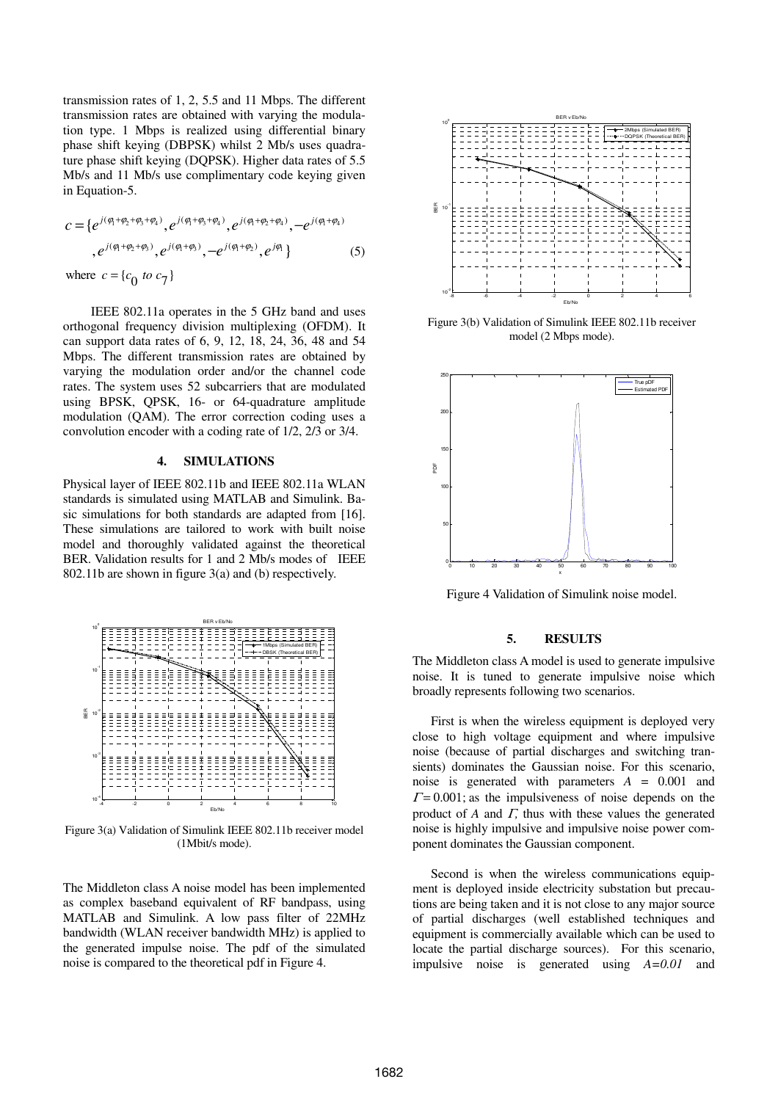transmission rates of 1, 2, 5.5 and 11 Mbps. The different transmission rates are obtained with varying the modulation type. 1 Mbps is realized using differential binary phase shift keying (DBPSK) whilst 2 Mb/s uses quadrature phase shift keying (DQPSK). Higher data rates of 5.5 Mb/s and 11 Mb/s use complimentary code keying given in Equation-5.

$$
c = \{e^{j(\varphi_1 + \varphi_2 + \varphi_3 + \varphi_4)}, e^{j(\varphi_1 + \varphi_3 + \varphi_4)}, e^{j(\varphi_1 + \varphi_2 + \varphi_4)}, -e^{j(\varphi_1 + \varphi_4)}
$$
  
, 
$$
e^{j(\varphi_1 + \varphi_2 + \varphi_3)}, e^{j(\varphi_1 + \varphi_3)}, -e^{j(\varphi_1 + \varphi_2)}, e^{j\varphi}\}
$$
 (5)

where  $c = \{c_0 \text{ to } c_7\}$ 

IEEE 802.11a operates in the 5 GHz band and uses orthogonal frequency division multiplexing (OFDM). It can support data rates of 6, 9, 12, 18, 24, 36, 48 and 54 Mbps. The different transmission rates are obtained by varying the modulation order and/or the channel code rates. The system uses 52 subcarriers that are modulated using BPSK, QPSK, 16- or 64-quadrature amplitude modulation (QAM). The error correction coding uses a convolution encoder with a coding rate of 1/2, 2/3 or 3/4.

## **4. SIMULATIONS**

Physical layer of IEEE 802.11b and IEEE 802.11a WLAN standards is simulated using MATLAB and Simulink. Basic simulations for both standards are adapted from [16]. These simulations are tailored to work with built noise model and thoroughly validated against the theoretical BER. Validation results for 1 and 2 Mb/s modes of IEEE 802.11b are shown in figure 3(a) and (b) respectively.



Figure 3(a) Validation of Simulink IEEE 802.11b receiver model (1Mbit/s mode).

The Middleton class A noise model has been implemented as complex baseband equivalent of RF bandpass, using MATLAB and Simulink. A low pass filter of 22MHz bandwidth (WLAN receiver bandwidth MHz) is applied to the generated impulse noise. The pdf of the simulated noise is compared to the theoretical pdf in Figure 4.



Figure 3(b) Validation of Simulink IEEE 802.11b receiver model (2 Mbps mode).



Figure 4 Validation of Simulink noise model.

### **5. RESULTS**

The Middleton class A model is used to generate impulsive noise. It is tuned to generate impulsive noise which broadly represents following two scenarios.

First is when the wireless equipment is deployed very close to high voltage equipment and where impulsive noise (because of partial discharges and switching transients) dominates the Gaussian noise. For this scenario, noise is generated with parameters *A* = 0.001 and  $\Gamma$  = 0.001; as the impulsiveness of noise depends on the product of *A* and Γ*,* thus with these values the generated noise is highly impulsive and impulsive noise power component dominates the Gaussian component.

Second is when the wireless communications equipment is deployed inside electricity substation but precautions are being taken and it is not close to any major source of partial discharges (well established techniques and equipment is commercially available which can be used to locate the partial discharge sources). For this scenario, impulsive noise is generated using *A=0.01* and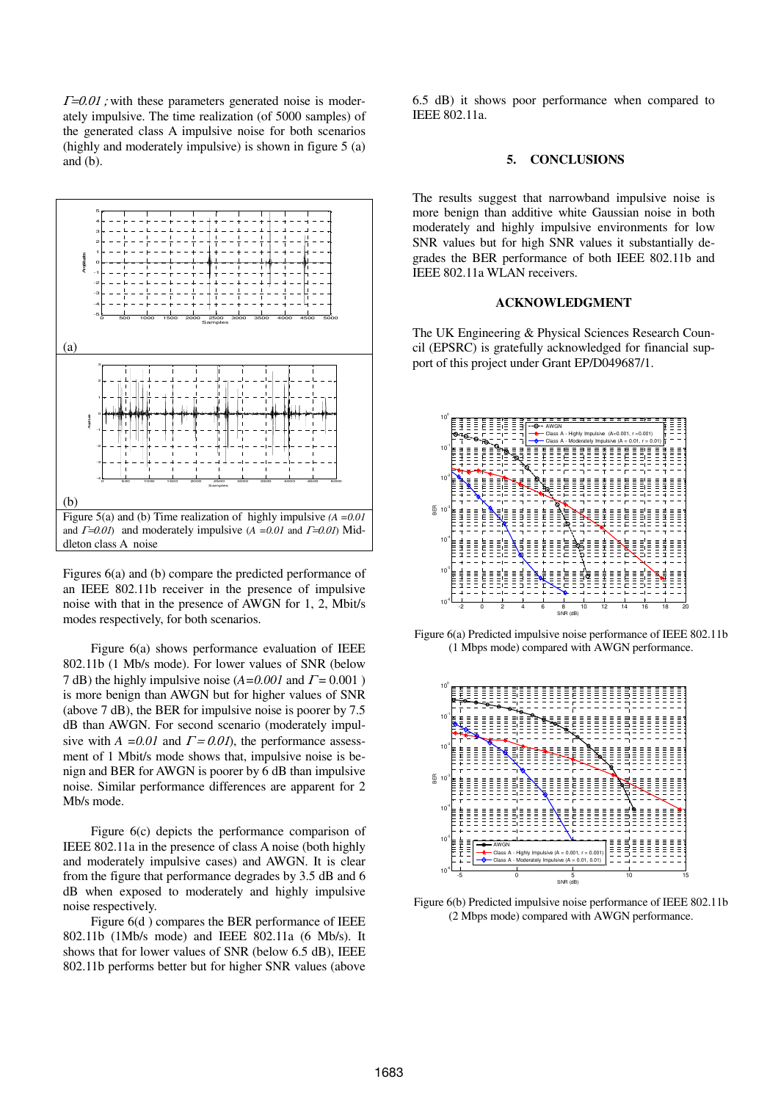$\Gamma = 0.01$ ; with these parameters generated noise is moderately impulsive. The time realization (of 5000 samples) of the generated class A impulsive noise for both scenarios (highly and moderately impulsive) is shown in figure 5 (a) and (b).



Figures 6(a) and (b) compare the predicted performance of an IEEE 802.11b receiver in the presence of impulsive noise with that in the presence of AWGN for 1, 2, Mbit/s modes respectively, for both scenarios.

Figure 6(a) shows performance evaluation of IEEE 802.11b (1 Mb/s mode). For lower values of SNR (below 7 dB) the highly impulsive noise  $(A=0.001$  and  $\Gamma=0.001$ ) is more benign than AWGN but for higher values of SNR (above 7 dB), the BER for impulsive noise is poorer by 7.5 dB than AWGN. For second scenario (moderately impulsive with  $A = 0.01$  and  $\Gamma = 0.01$ , the performance assessment of 1 Mbit/s mode shows that, impulsive noise is benign and BER for AWGN is poorer by 6 dB than impulsive noise. Similar performance differences are apparent for 2 Mb/s mode.

Figure 6(c) depicts the performance comparison of IEEE 802.11a in the presence of class A noise (both highly and moderately impulsive cases) and AWGN. It is clear from the figure that performance degrades by 3.5 dB and 6 dB when exposed to moderately and highly impulsive noise respectively.

Figure 6(d ) compares the BER performance of IEEE 802.11b (1Mb/s mode) and IEEE 802.11a (6 Mb/s). It shows that for lower values of SNR (below 6.5 dB), IEEE 802.11b performs better but for higher SNR values (above

6.5 dB) it shows poor performance when compared to IEEE 802.11a.

#### **5. CONCLUSIONS**

The results suggest that narrowband impulsive noise is more benign than additive white Gaussian noise in both moderately and highly impulsive environments for low SNR values but for high SNR values it substantially degrades the BER performance of both IEEE 802.11b and IEEE 802.11a WLAN receivers.

## **ACKNOWLEDGMENT**

The UK Engineering & Physical Sciences Research Council (EPSRC) is gratefully acknowledged for financial support of this project under Grant EP/D049687/1.



Figure 6(a) Predicted impulsive noise performance of IEEE 802.11b (1 Mbps mode) compared with AWGN performance.



Figure 6(b) Predicted impulsive noise performance of IEEE 802.11b (2 Mbps mode) compared with AWGN performance.